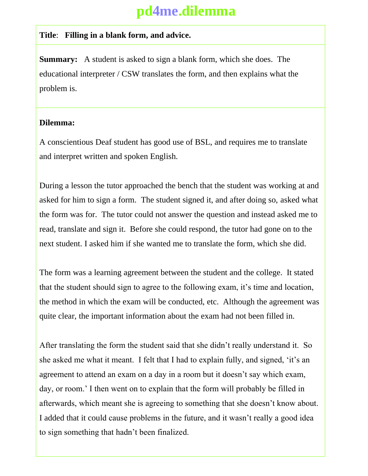## **pd4me.dilemma**

## **Title**: **Filling in a blank form, and advice.**

**Summary:** A student is asked to sign a blank form, which she does. The educational interpreter / CSW translates the form, and then explains what the problem is.

## **Dilemma:**

A conscientious Deaf student has good use of BSL, and requires me to translate and interpret written and spoken English.

During a lesson the tutor approached the bench that the student was working at and asked for him to sign a form. The student signed it, and after doing so, asked what the form was for. The tutor could not answer the question and instead asked me to read, translate and sign it. Before she could respond, the tutor had gone on to the next student. I asked him if she wanted me to translate the form, which she did.

The form was a learning agreement between the student and the college. It stated that the student should sign to agree to the following exam, it's time and location, the method in which the exam will be conducted, etc. Although the agreement was quite clear, the important information about the exam had not been filled in.

After translating the form the student said that she didn't really understand it. So she asked me what it meant. I felt that I had to explain fully, and signed, 'it's an agreement to attend an exam on a day in a room but it doesn't say which exam, day, or room.' I then went on to explain that the form will probably be filled in afterwards, which meant she is agreeing to something that she doesn't know about. I added that it could cause problems in the future, and it wasn't really a good idea to sign something that hadn't been finalized.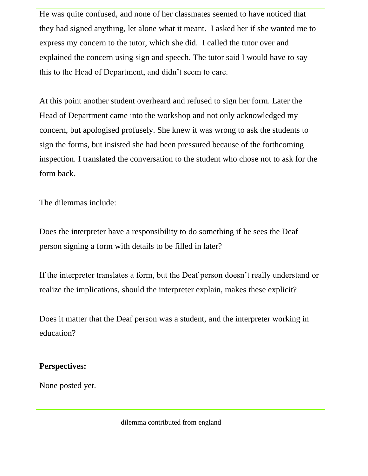He was quite confused, and none of her classmates seemed to have noticed that they had signed anything, let alone what it meant. I asked her if she wanted me to express my concern to the tutor, which she did. I called the tutor over and explained the concern using sign and speech. The tutor said I would have to say this to the Head of Department, and didn't seem to care.

At this point another student overheard and refused to sign her form. Later the Head of Department came into the workshop and not only acknowledged my concern, but apologised profusely. She knew it was wrong to ask the students to sign the forms, but insisted she had been pressured because of the forthcoming inspection. I translated the conversation to the student who chose not to ask for the form back.

The dilemmas include:

Does the interpreter have a responsibility to do something if he sees the Deaf person signing a form with details to be filled in later?

If the interpreter translates a form, but the Deaf person doesn't really understand or realize the implications, should the interpreter explain, makes these explicit?

Does it matter that the Deaf person was a student, and the interpreter working in education?

## **Perspectives:**

None posted yet.

dilemma contributed from england